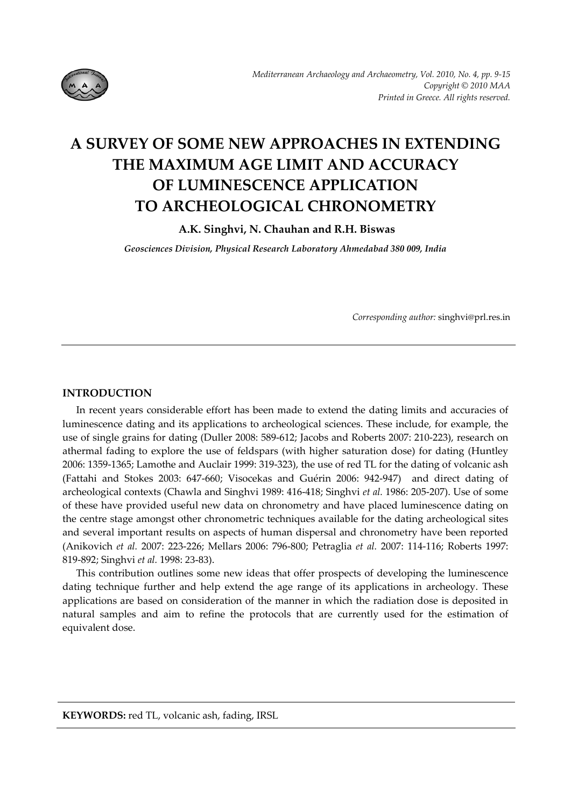

# **A SURVEY OF SOME NEW APPROACHES IN EXTENDING THE MAXIMUM AGE LIMIT AND ACCURACY OF LUMINESCENCE APPLICATION TO ARCHEOLOGICAL CHRONOMETRY**

**A.K. Singhvi, N. Chauhan and R.H. Biswas** 

*Geosciences Division, Physical Research Laboratory Ahmedabad 380 009, India*

*Corresponding author:* singhvi@prl.res.in

## **INTRODUCTION**

In recent years considerable effort has been made to extend the dating limits and accuracies of luminescence dating and its applications to archeological sciences. These include, for example, the use of single grains for dating (Duller 2008: 589‐612; Jacobs and Roberts 2007: 210‐223), research on athermal fading to explore the use of feldspars (with higher saturation dose) for dating (Huntley 2006: 1359‐1365; Lamothe and Auclair 1999: 319‐323), the use of red TL for the dating of volcanic ash (Fattahi and Stokes 2003: 647‐660; Visocekas and Guérin 2006: 942‐947) and direct dating of archeological contexts (Chawla and Singhvi 1989: 416‐418; Singhvi *et al.* 1986: 205‐207). Use of some of these have provided useful new data on chronometry and have placed luminescence dating on the centre stage amongst other chronometric techniques available for the dating archeological sites and several important results on aspects of human dispersal and chronometry have been reported (Anikovich *et al.* 2007: 223‐226; Mellars 2006: 796‐800; Petraglia *et al.* 2007: 114‐116; Roberts 1997: 819‐892; Singhvi *et al.* 1998: 23-83).

This contribution outlines some new ideas that offer prospects of developing the luminescence dating technique further and help extend the age range of its applications in archeology. These applications are based on consideration of the manner in which the radiation dose is deposited in natural samples and aim to refine the protocols that are currently used for the estimation of equivalent dose.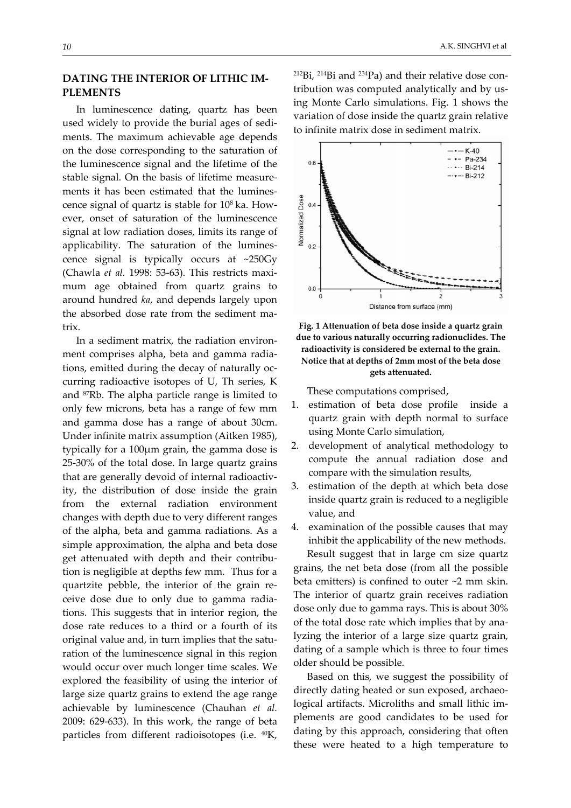# **DATING THE INTERIOR OF LITHIC IM‐ PLEMENTS**

In luminescence dating, quartz has been used widely to provide the burial ages of sedi‐ ments. The maximum achievable age depends on the dose corresponding to the saturation of the luminescence signal and the lifetime of the stable signal. On the basis of lifetime measure‐ ments it has been estimated that the luminescence signal of quartz is stable for 108 ka. How‐ ever, onset of saturation of the luminescence signal at low radiation doses, limits its range of applicability. The saturation of the luminescence signal is typically occurs at ~250Gy (Chawla *et al.* 1998: 53‐63). This restricts maxi‐ mum age obtained from quartz grains to around hundred *ka*, and depends largely upon the absorbed dose rate from the sediment matrix.

In a sediment matrix, the radiation environ‐ ment comprises alpha, beta and gamma radia‐ tions, emitted during the decay of naturally oc‐ curring radioactive isotopes of U, Th series, K and 87Rb. The alpha particle range is limited to only few microns, beta has a range of few mm and gamma dose has a range of about 30cm. Under infinite matrix assumption (Aitken 1985), typically for a 100μm grain, the gamma dose is 25‐30% of the total dose. In large quartz grains that are generally devoid of internal radioactiv‐ ity, the distribution of dose inside the grain from the external radiation environment changes with depth due to very different ranges of the alpha, beta and gamma radiations. As a simple approximation, the alpha and beta dose get attenuated with depth and their contribution is negligible at depths few mm. Thus for a quartzite pebble, the interior of the grain re‐ ceive dose due to only due to gamma radia‐ tions. This suggests that in interior region, the dose rate reduces to a third or a fourth of its original value and, in turn implies that the satu‐ ration of the luminescence signal in this region would occur over much longer time scales. We explored the feasibility of using the interior of large size quartz grains to extend the age range achievable by luminescence (Chauhan *et al.* 2009: 629‐633). In this work, the range of beta particles from different radioisotopes (i.e. 40K,

 $212\text{Bi}$ ,  $214\text{Bi}$  and  $234\text{Pa}$ ) and their relative dose contribution was computed analytically and by us‐ ing Monte Carlo simulations. Fig. 1 shows the variation of dose inside the quartz grain relative to infinite matrix dose in sediment matrix.



**Fig. 1 Attenuation of beta dose inside a quartz grain due to various naturally occurring radionuclides. The radioactivity is considered be external to the grain. Notice that at depths of 2mm most of the beta dose gets attenuated.**

These computations comprised,

- 1. estimation of beta dose profile inside a quartz grain with depth normal to surface using Monte Carlo simulation,
- 2. development of analytical methodology to compute the annual radiation dose and compare with the simulation results,
- 3. estimation of the depth at which beta dose inside quartz grain is reduced to a negligible value, and
- 4. examination of the possible causes that may inhibit the applicability of the new methods.

Result suggest that in large cm size quartz grains, the net beta dose (from all the possible beta emitters) is confined to outer ~2 mm skin. The interior of quartz grain receives radiation dose only due to gamma rays. This is about 30% of the total dose rate which implies that by ana‐ lyzing the interior of a large size quartz grain, dating of a sample which is three to four times older should be possible.

Based on this, we suggest the possibility of directly dating heated or sun exposed, archaeo‐ logical artifacts. Microliths and small lithic im‐ plements are good candidates to be used for dating by this approach, considering that often these were heated to a high temperature to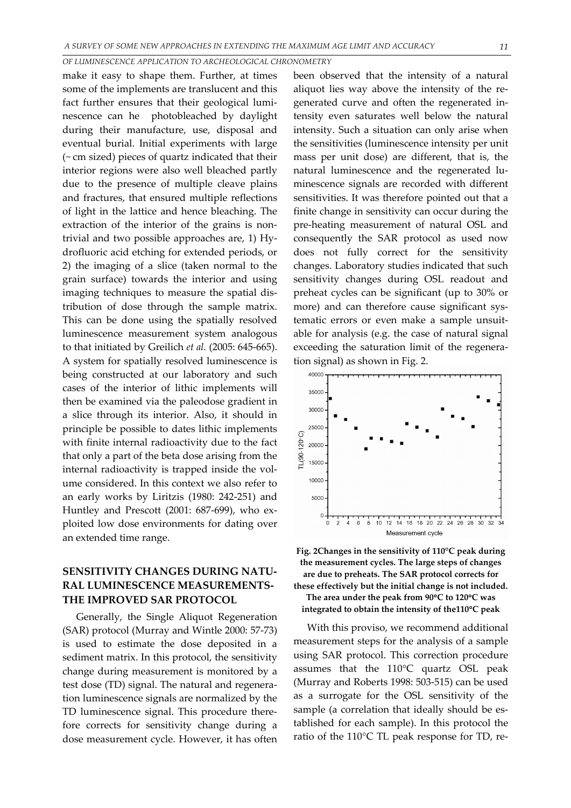#### *OF LUMINESCENCE APPLICATION TO ARCHEOLOGICAL CHRONOMETRY*

make it easy to shape them. Further, at times some of the implements are translucent and this fact further ensures that their geological lumi‐ nescence can he photobleached by daylight during their manufacture, use, disposal and eventual burial. Initial experiments with large (~ cm sized) pieces of quartz indicated that their interior regions were also well bleached partly due to the presence of multiple cleave plains and fractures, that ensured multiple reflections of light in the lattice and hence bleaching. The extraction of the interior of the grains is nontrivial and two possible approaches are, 1) Hy‐ drofluoric acid etching for extended periods, or 2) the imaging of a slice (taken normal to the grain surface) towards the interior and using imaging techniques to measure the spatial dis‐ tribution of dose through the sample matrix. This can be done using the spatially resolved luminescence measurement system analogous to that initiated by Greilich *et al.* (2005: 645‐665). A system for spatially resolved luminescence is being constructed at our laboratory and such cases of the interior of lithic implements will then be examined via the paleodose gradient in a slice through its interior. Also, it should in principle be possible to dates lithic implements with finite internal radioactivity due to the fact that only a part of the beta dose arising from the internal radioactivity is trapped inside the volume considered. In this context we also refer to an early works by Liritzis (1980: 242‐251) and Huntley and Prescott (2001: 687‐699), who ex‐ ploited low dose environments for dating over an extended time range.

# **SENSITIVITY CHANGES DURING NATU‐ RAL LUMINESCENCE MEASUREMENTS‐ THE IMPROVED SAR PROTOCOL**

Generally, the Single Aliquot Regeneration (SAR) protocol (Murray and Wintle 2000: 57‐73) is used to estimate the dose deposited in a sediment matrix. In this protocol, the sensitivity change during measurement is monitored by a test dose (TD) signal. The natural and regenera‐ tion luminescence signals are normalized by the TD luminescence signal. This procedure there‐ fore corrects for sensitivity change during a dose measurement cycle. However, it has often been observed that the intensity of a natural aliquot lies way above the intensity of the re‐ generated curve and often the regenerated in‐ tensity even saturates well below the natural intensity. Such a situation can only arise when the sensitivities (luminescence intensity per unit mass per unit dose) are different, that is, the natural luminescence and the regenerated luminescence signals are recorded with different sensitivities. It was therefore pointed out that a finite change in sensitivity can occur during the pre‐heating measurement of natural OSL and consequently the SAR protocol as used now does not fully correct for the sensitivity changes. Laboratory studies indicated that such sensitivity changes during OSL readout and preheat cycles can be significant (up to 30% or more) and can therefore cause significant systematic errors or even make a sample unsuit‐ able for analysis (e.g. the case of natural signal exceeding the saturation limit of the regenera‐ tion signal) as shown in Fig. 2.



**Fig. 2Changes in the sensitivity of 110°C peak during the measurement cycles. The large steps of changes are due to preheats. The SAR protocol corrects for these effectively but the initial change is not included. The area under the peak from 90**°**C to 120**°**C was integrated to obtain the intensity of the110**°**C peak**

With this proviso, we recommend additional measurement steps for the analysis of a sample using SAR protocol. This correction procedure assumes that the 110°C quartz OSL peak (Murray and Roberts 1998: 503‐515) can be used as a surrogate for the OSL sensitivity of the sample (a correlation that ideally should be established for each sample). In this protocol the ratio of the 110°C TL peak response for TD, re‐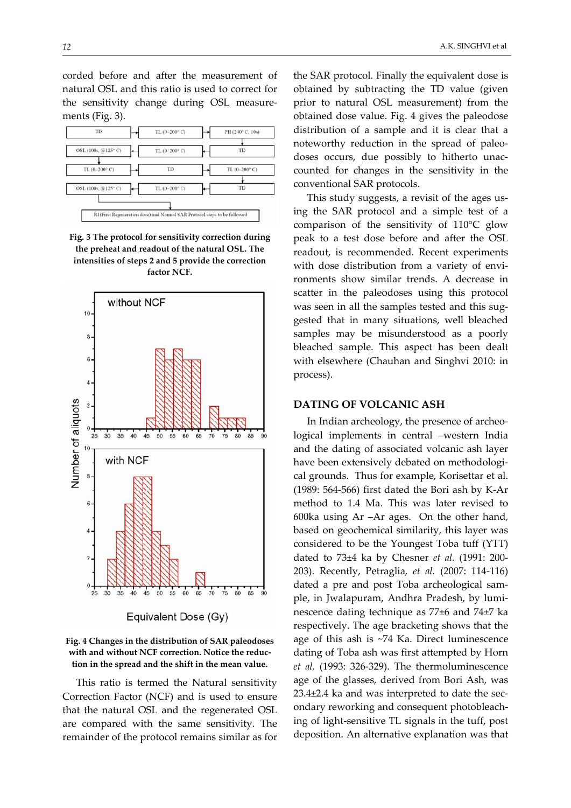corded before and after the measurement of natural OSL and this ratio is used to correct for the sensitivity change during OSL measure‐ ments (Fig. 3).



**Fig. 3 The protocol for sensitivity correction during the preheat and readout of the natural OSL. The intensities of steps 2 and 5 provide the correction factor NCF.**



**Fig. 4 Changes in the distribution of SAR paleodoses with and without NCF correction. Notice the reduc‐ tion in the spread and the shift in the mean value.**

This ratio is termed the Natural sensitivity Correction Factor (NCF) and is used to ensure that the natural OSL and the regenerated OSL are compared with the same sensitivity. The remainder of the protocol remains similar as for

the SAR protocol. Finally the equivalent dose is obtained by subtracting the TD value (given prior to natural OSL measurement) from the obtained dose value. Fig. 4 gives the paleodose distribution of a sample and it is clear that a noteworthy reduction in the spread of paleo‐ doses occurs, due possibly to hitherto unac‐ counted for changes in the sensitivity in the conventional SAR protocols.

This study suggests, a revisit of the ages us‐ ing the SAR protocol and a simple test of a comparison of the sensitivity of 110°C glow peak to a test dose before and after the OSL readout, is recommended. Recent experiments with dose distribution from a variety of environments show similar trends. A decrease in scatter in the paleodoses using this protocol was seen in all the samples tested and this suggested that in many situations, well bleached samples may be misunderstood as a poorly bleached sample. This aspect has been dealt with elsewhere (Chauhan and Singhvi 2010: in process).

### **DATING OF VOLCANIC ASH**

In Indian archeology, the presence of archeo‐ logical implements in central –western India and the dating of associated volcanic ash layer have been extensively debated on methodological grounds. Thus for example, Korisettar et al. (1989: 564‐566) first dated the Bori ash by K‐Ar method to 1.4 Ma. This was later revised to 600ka using Ar –Ar ages. On the other hand, based on geochemical similarity, this layer was considered to be the Youngest Toba tuff (YTT) dated to 73±4 ka by Chesner *et al.* (1991: 200‐ 203). Recently, Petraglia*, et al.* (2007: 114‐116) dated a pre and post Toba archeological sam‐ ple, in Jwalapuram, Andhra Pradesh, by lumi‐ nescence dating technique as 77±6 and 74±7 ka respectively. The age bracketing shows that the age of this ash is ~74 Ka. Direct luminescence dating of Toba ash was first attempted by Horn *et al.* (1993: 326‐329). The thermoluminescence age of the glasses, derived from Bori Ash, was 23.4±2.4 ka and was interpreted to date the sec‐ ondary reworking and consequent photobleach‐ ing of light‐sensitive TL signals in the tuff, post deposition. An alternative explanation was that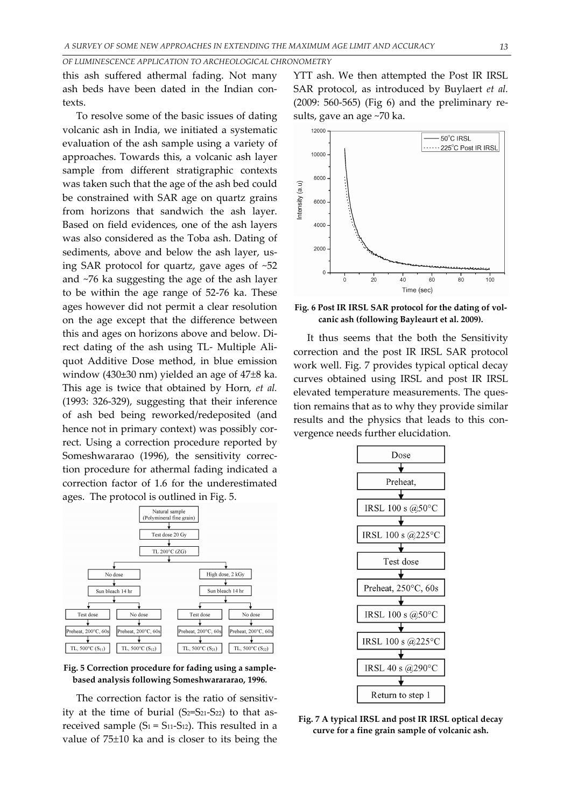*OF LUMINESCENCE APPLICATION TO ARCHEOLOGICAL CHRONOMETRY*

this ash suffered athermal fading. Not many ash beds have been dated in the Indian contexts.

To resolve some of the basic issues of dating volcanic ash in India, we initiated a systematic evaluation of the ash sample using a variety of approaches. Towards this, a volcanic ash layer sample from different stratigraphic contexts was taken such that the age of the ash bed could be constrained with SAR age on quartz grains from horizons that sandwich the ash layer. Based on field evidences, one of the ash layers was also considered as the Toba ash. Dating of sediments, above and below the ash layer, using SAR protocol for quartz, gave ages of ~52 and ~76 ka suggesting the age of the ash layer to be within the age range of 52‐76 ka. These ages however did not permit a clear resolution on the age except that the difference between this and ages on horizons above and below. Di‐ rect dating of the ash using TL‐ Multiple Ali‐ quot Additive Dose method, in blue emission window (430±30 nm) yielded an age of 47±8 ka. This age is twice that obtained by Horn*, et al.* (1993: 326‐329), suggesting that their inference of ash bed being reworked/redeposited (and hence not in primary context) was possibly correct. Using a correction procedure reported by Someshwararao (1996), the sensitivity correction procedure for athermal fading indicated a correction factor of 1.6 for the underestimated ages. The protocol is outlined in Fig. 5.



**Fig. 5 Correction procedure for fading using a sample‐ based analysis following Someshwarararao, 1996.**

The correction factor is the ratio of sensitivity at the time of burial  $(S_2=S_{21}-S_{22})$  to that asreceived sample  $(S_1 = S_{11} - S_{12})$ . This resulted in a value of 75±10 ka and is closer to its being the

YTT ash. We then attempted the Post IR IRSL SAR protocol, as introduced by Buylaert *et al.* (2009: 560‐565) (Fig 6) and the preliminary re‐ sults, gave an age ~70 ka.



**Fig. 6 Post IR IRSL SAR protocol for the dating of vol‐ canic ash (following Bayleaurt et al. 2009).**

It thus seems that the both the Sensitivity correction and the post IR IRSL SAR protocol work well. Fig. 7 provides typical optical decay curves obtained using IRSL and post IR IRSL elevated temperature measurements. The question remains that as to why they provide similar results and the physics that leads to this convergence needs further elucidation.



**Fig. 7 A typical IRSL and post IR IRSL optical decay curve for a fine grain sample of volcanic ash.**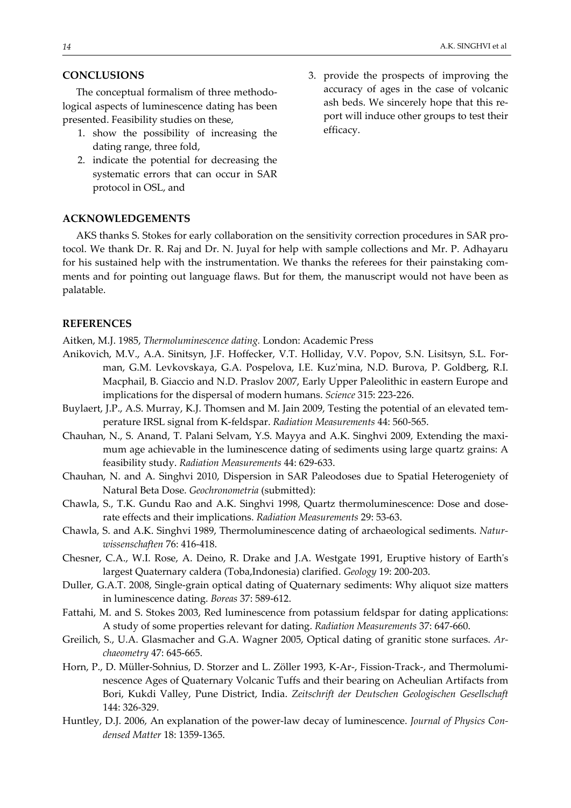### **CONCLUSIONS**

The conceptual formalism of three methodo‐ logical aspects of luminescence dating has been presented. Feasibility studies on these,

- 1. show the possibility of increasing the dating range, three fold,
- 2. indicate the potential for decreasing the systematic errors that can occur in SAR protocol in OSL, and

### **ACKNOWLEDGEMENTS**

AKS thanks S. Stokes for early collaboration on the sensitivity correction procedures in SAR pro‐ tocol. We thank Dr. R. Raj and Dr. N. Juyal for help with sample collections and Mr. P. Adhayaru for his sustained help with the instrumentation. We thanks the referees for their painstaking comments and for pointing out language flaws. But for them, the manuscript would not have been as palatable.

### **REFERENCES**

Aitken, M.J. 1985, *Thermoluminescence dating.* London: Academic Press

- Anikovich, M.V., A.A. Sinitsyn, J.F. Hoffecker, V.T. Holliday, V.V. Popov, S.N. Lisitsyn, S.L. For‐ man, G.M. Levkovskaya, G.A. Pospelova, I.E. Kuzʹmina, N.D. Burova, P. Goldberg, R.I. Macphail, B. Giaccio and N.D. Praslov 2007, Early Upper Paleolithic in eastern Europe and implications for the dispersal of modern humans. *Science* 315: 223‐226.
- Buylaert, J.P., A.S. Murray, K.J. Thomsen and M. Jain 2009, Testing the potential of an elevated temperature IRSL signal from K‐feldspar. *Radiation Measurements* 44: 560‐565.
- Chauhan, N., S. Anand, T. Palani Selvam, Y.S. Mayya and A.K. Singhvi 2009, Extending the maxi‐ mum age achievable in the luminescence dating of sediments using large quartz grains: A feasibility study. *Radiation Measurements* 44: 629‐633.
- Chauhan, N. and A. Singhvi 2010, Dispersion in SAR Paleodoses due to Spatial Heterogeniety of Natural Beta Dose. *Geochronometria* (submitted):
- Chawla, S., T.K. Gundu Rao and A.K. Singhvi 1998, Quartz thermoluminescence: Dose and dose‐ rate effects and their implications. *Radiation Measurements* 29: 53‐63.
- Chawla, S. and A.K. Singhvi 1989, Thermoluminescence dating of archaeological sediments. *Natur‐ wissenschaften* 76: 416‐418.
- Chesner, C.A., W.I. Rose, A. Deino, R. Drake and J.A. Westgate 1991, Eruptive history of Earthʹs largest Quaternary caldera (Toba,Indonesia) clarified. *Geology* 19: 200‐203.
- Duller, G.A.T. 2008, Single‐grain optical dating of Quaternary sediments: Why aliquot size matters in luminescence dating. *Boreas* 37: 589‐612.
- Fattahi, M. and S. Stokes 2003, Red luminescence from potassium feldspar for dating applications: A study of some properties relevant for dating. *Radiation Measurements* 37: 647‐660.
- Greilich, S., U.A. Glasmacher and G.A. Wagner 2005, Optical dating of granitic stone surfaces. *Ar‐ chaeometry* 47: 645‐665.
- Horn, P., D. Müller-Sohnius, D. Storzer and L. Zöller 1993, K-Ar-, Fission-Track-, and Thermoluminescence Ages of Quaternary Volcanic Tuffs and their bearing on Acheulian Artifacts from Bori, Kukdi Valley, Pune District, India. *Zeitschrift der Deutschen Geologischen Gesellschaft* 144: 326‐329.
- Huntley, D.J. 2006, An explanation of the power‐law decay of luminescence. *Journal of Physics Con‐ densed Matter* 18: 1359‐1365.

3. provide the prospects of improving the accuracy of ages in the case of volcanic ash beds. We sincerely hope that this re‐ port will induce other groups to test their efficacy.